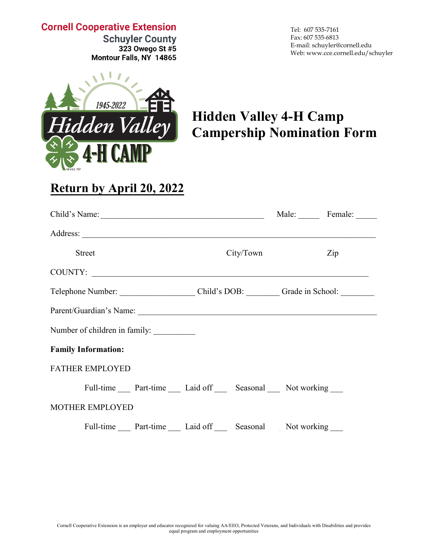### **Cornell Cooperative Extension**

**Schuyler County** 323 Owego St #5 Montour Falls, NY 14865 Tel: 607 535-7161 Fax: 607 535-6813 E-mail: schuyler@cornell.edu Web: www.cce.cornell.edu/schuyler



# **Hidden Valley 4-H Camp Campership Nomination Form**

## **Return by April 20, 2022**

| Child's Name:                                     |           | Male: Female: |  |
|---------------------------------------------------|-----------|---------------|--|
|                                                   |           |               |  |
| <b>Street</b>                                     | City/Town | Zip           |  |
| COUNTY:                                           |           |               |  |
|                                                   |           |               |  |
|                                                   |           |               |  |
| Number of children in family:                     |           |               |  |
| <b>Family Information:</b>                        |           |               |  |
| <b>FATHER EMPLOYED</b>                            |           |               |  |
| Full-time Part-time Laid off Seasonal Not working |           |               |  |
| MOTHER EMPLOYED                                   |           |               |  |
| Full-time Part-time Laid off Seasonal Not working |           |               |  |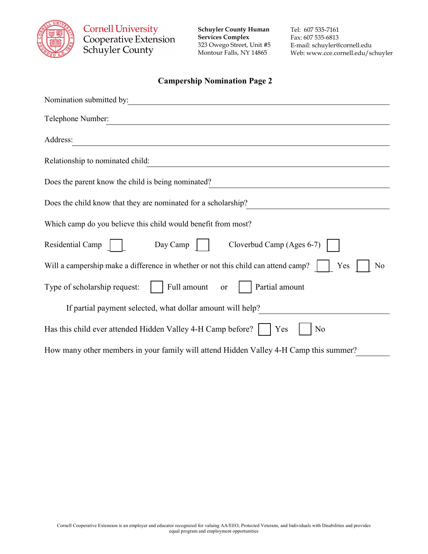

**Cornell University<br>Cooperative Extension** Schuyler County

**Schuyler County Human Services Complex** 323 Owego Street, Unit #5 Montour Falls, NY 14865

Tel: 607 535-7161 Fax: 607 535-6813 E-mail: schuyler@cornell.edu Web: www.cce.cornell.edu/schuyler

#### **Campership Nomination Page 2**

| Nomination submitted by:                                                                       |  |  |
|------------------------------------------------------------------------------------------------|--|--|
| Telephone Number:                                                                              |  |  |
| Address:                                                                                       |  |  |
| Relationship to nominated child:                                                               |  |  |
| Does the parent know the child is being nominated?                                             |  |  |
| Does the child know that they are nominated for a scholarship?                                 |  |  |
| Which camp do you believe this child would benefit from most?                                  |  |  |
| Day Camp<br>Cloverbud Camp (Ages 6-7)<br>Residential Camp                                      |  |  |
| Will a campership make a difference in whether or not this child can attend camp?<br>Yes<br>No |  |  |
| Full amount<br>Partial amount<br>Type of scholarship request:<br>or                            |  |  |
| If partial payment selected, what dollar amount will help?                                     |  |  |
| Has this child ever attended Hidden Valley 4-H Camp before?<br>Yes<br>No                       |  |  |
| How many other members in your family will attend Hidden Valley 4-H Camp this summer?          |  |  |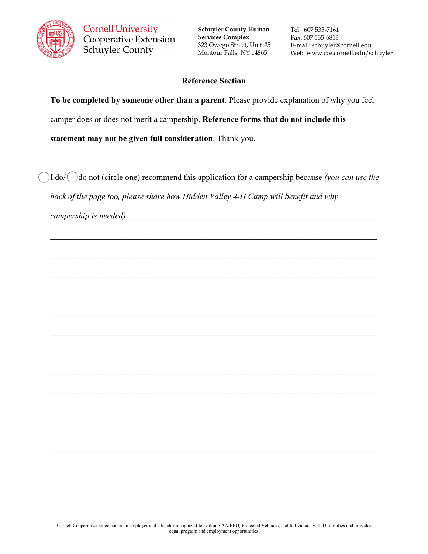

**Schuyler County Human Services Complex** 323 Owego Street, Unit #5 Montour Falls, NY 14865

Tel: 607 535-7161 Fax: 607 535-6813 E-mail: schuyler@cornell.edu Web: www.cce.cornell.edu/schuyler

#### **Reference Section**

**To be completed by someone other than a parent**. Please provide explanation of why you feel camper does or does not merit a campership. **Reference forms that do not include this statement may not be given full consideration**. Thank you.

I do/  $\bigcirc$  do not (circle one) recommend this application for a campership because *(you can use the back of the page too, please share how Hidden Valley 4-H Camp will benefit and why* 

\_\_\_\_\_\_\_\_\_\_\_\_\_\_\_\_\_\_\_\_\_\_\_\_\_\_\_\_\_\_\_\_\_\_\_\_\_\_\_\_\_\_\_\_\_\_\_\_\_\_\_\_\_\_\_\_\_\_\_\_\_\_\_\_\_\_\_\_\_\_\_\_\_\_\_\_\_\_

\_\_\_\_\_\_\_\_\_\_\_\_\_\_\_\_\_\_\_\_\_\_\_\_\_\_\_\_\_\_\_\_\_\_\_\_\_\_\_\_\_\_\_\_\_\_\_\_\_\_\_\_\_\_\_\_\_\_\_\_\_\_\_\_\_\_\_\_\_\_\_\_\_\_\_\_\_\_

\_\_\_\_\_\_\_\_\_\_\_\_\_\_\_\_\_\_\_\_\_\_\_\_\_\_\_\_\_\_\_\_\_\_\_\_\_\_\_\_\_\_\_\_\_\_\_\_\_\_\_\_\_\_\_\_\_\_\_\_\_\_\_\_\_\_\_\_\_\_\_\_\_\_\_\_\_\_

\_\_\_\_\_\_\_\_\_\_\_\_\_\_\_\_\_\_\_\_\_\_\_\_\_\_\_\_\_\_\_\_\_\_\_\_\_\_\_\_\_\_\_\_\_\_\_\_\_\_\_\_\_\_\_\_\_\_\_\_\_\_\_\_\_\_\_\_\_\_\_\_\_\_\_\_\_\_

\_\_\_\_\_\_\_\_\_\_\_\_\_\_\_\_\_\_\_\_\_\_\_\_\_\_\_\_\_\_\_\_\_\_\_\_\_\_\_\_\_\_\_\_\_\_\_\_\_\_\_\_\_\_\_\_\_\_\_\_\_\_\_\_\_\_\_\_\_\_\_\_\_\_\_\_\_\_

\_\_\_\_\_\_\_\_\_\_\_\_\_\_\_\_\_\_\_\_\_\_\_\_\_\_\_\_\_\_\_\_\_\_\_\_\_\_\_\_\_\_\_\_\_\_\_\_\_\_\_\_\_\_\_\_\_\_\_\_\_\_\_\_\_\_\_\_\_\_\_\_\_\_\_\_\_\_

\_\_\_\_\_\_\_\_\_\_\_\_\_\_\_\_\_\_\_\_\_\_\_\_\_\_\_\_\_\_\_\_\_\_\_\_\_\_\_\_\_\_\_\_\_\_\_\_\_\_\_\_\_\_\_\_\_\_\_\_\_\_\_\_\_\_\_\_\_\_\_\_\_\_\_\_\_\_

\_\_\_\_\_\_\_\_\_\_\_\_\_\_\_\_\_\_\_\_\_\_\_\_\_\_\_\_\_\_\_\_\_\_\_\_\_\_\_\_\_\_\_\_\_\_\_\_\_\_\_\_\_\_\_\_\_\_\_\_\_\_\_\_\_\_\_\_\_\_\_\_\_\_\_\_\_\_

\_\_\_\_\_\_\_\_\_\_\_\_\_\_\_\_\_\_\_\_\_\_\_\_\_\_\_\_\_\_\_\_\_\_\_\_\_\_\_\_\_\_\_\_\_\_\_\_\_\_\_\_\_\_\_\_\_\_\_\_\_\_\_\_\_\_\_\_\_\_\_\_\_\_\_\_\_\_

*campership is needed)*: